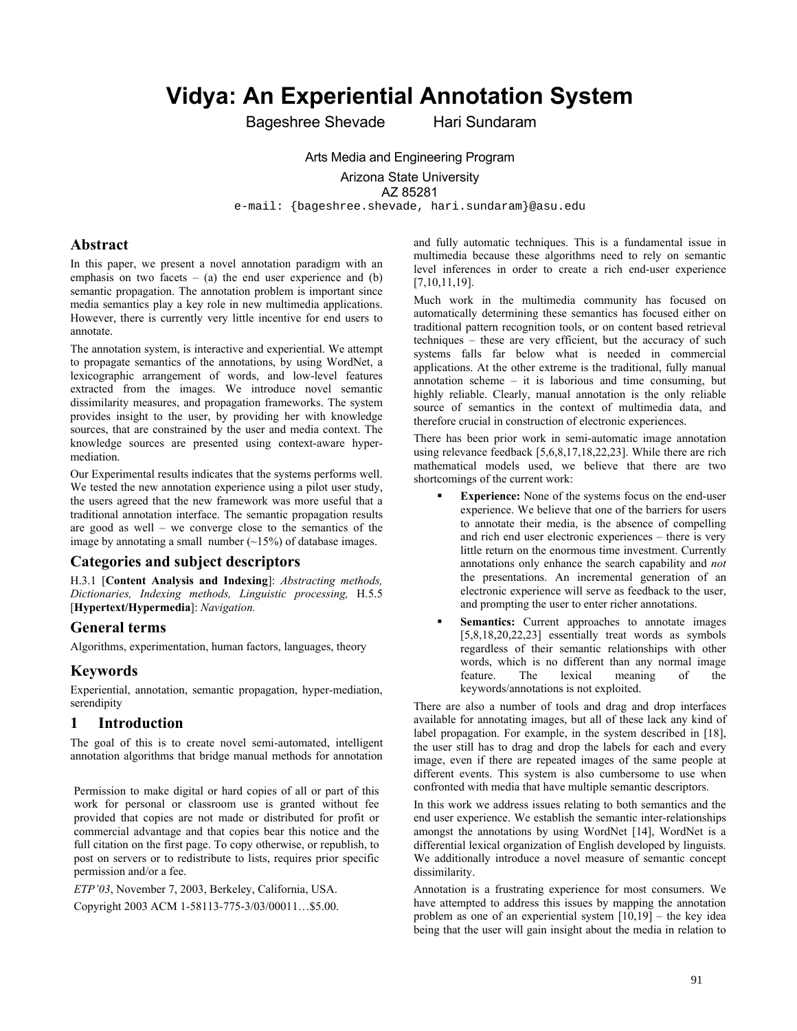# **Vidya: An Experiential Annotation System**

Bageshree Shevade Hari Sundaram

Arts Media and Engineering Program

Arizona State University

AZ 85281

e-mail: {bageshree.shevade, hari.sundaram}@asu.edu

# **Abstract**

In this paper, we present a novel annotation paradigm with an emphasis on two facets  $-$  (a) the end user experience and (b) semantic propagation. The annotation problem is important since media semantics play a key role in new multimedia applications. However, there is currently very little incentive for end users to annotate.

The annotation system, is interactive and experiential. We attempt to propagate semantics of the annotations, by using WordNet, a lexicographic arrangement of words, and low-level features extracted from the images. We introduce novel semantic dissimilarity measures, and propagation frameworks. The system provides insight to the user, by providing her with knowledge sources, that are constrained by the user and media context. The knowledge sources are presented using context-aware hypermediation.

Our Experimental results indicates that the systems performs well. We tested the new annotation experience using a pilot user study, the users agreed that the new framework was more useful that a traditional annotation interface. The semantic propagation results are good as well – we converge close to the semantics of the image by annotating a small number  $(\sim 15\%)$  of database images.

# **Categories and subject descriptors**

H.3.1 [**Content Analysis and Indexing**]: *Abstracting methods, Dictionaries, Indexing methods, Linguistic processing,* H.5.5 [**Hypertext/Hypermedia**]: *Navigation.*

# **General terms**

Algorithms, experimentation, human factors, languages, theory

# **Keywords**

Experiential, annotation, semantic propagation, hyper-mediation, serendipity

# **1 Introduction**

The goal of this is to create novel semi-automated, intelligent annotation algorithms that bridge manual methods for annotation

Permission to make digital or hard copies of all or part of this work for personal or classroom use is granted without fee provided that copies are not made or distributed for profit or commercial advantage and that copies bear this notice and the full citation on the first page. To copy otherwise, or republish, to post on servers or to redistribute to lists, requires prior specific permission and/or a fee.

*ETP'03*, November 7, 2003, Berkeley, California, USA. Copyright 2003 ACM 1-58113-775-3/03/00011…\$5.00. and fully automatic techniques. This is a fundamental issue in multimedia because these algorithms need to rely on semantic level inferences in order to create a rich end-user experience [7,10,11,19].

Much work in the multimedia community has focused on automatically determining these semantics has focused either on traditional pattern recognition tools, or on content based retrieval techniques – these are very efficient, but the accuracy of such systems falls far below what is needed in commercial applications. At the other extreme is the traditional, fully manual annotation scheme – it is laborious and time consuming, but highly reliable. Clearly, manual annotation is the only reliable source of semantics in the context of multimedia data, and therefore crucial in construction of electronic experiences.

There has been prior work in semi-automatic image annotation using relevance feedback [5,6,8,17,18,22,23]. While there are rich mathematical models used, we believe that there are two shortcomings of the current work:

- **Experience:** None of the systems focus on the end-user experience. We believe that one of the barriers for users to annotate their media, is the absence of compelling and rich end user electronic experiences – there is very little return on the enormous time investment. Currently annotations only enhance the search capability and *not* the presentations. An incremental generation of an electronic experience will serve as feedback to the user, and prompting the user to enter richer annotations.
- Semantics: Current approaches to annotate images [5,8,18,20,22,23] essentially treat words as symbols regardless of their semantic relationships with other words, which is no different than any normal image feature. The lexical meaning of the keywords/annotations is not exploited.

There are also a number of tools and drag and drop interfaces available for annotating images, but all of these lack any kind of label propagation. For example, in the system described in [18], the user still has to drag and drop the labels for each and every image, even if there are repeated images of the same people at different events. This system is also cumbersome to use when confronted with media that have multiple semantic descriptors.

In this work we address issues relating to both semantics and the end user experience. We establish the semantic inter-relationships amongst the annotations by using WordNet [14], WordNet is a differential lexical organization of English developed by linguists. We additionally introduce a novel measure of semantic concept dissimilarity.

Annotation is a frustrating experience for most consumers. We have attempted to address this issues by mapping the annotation problem as one of an experiential system  $\overline{[10,19]}$  – the key idea being that the user will gain insight about the media in relation to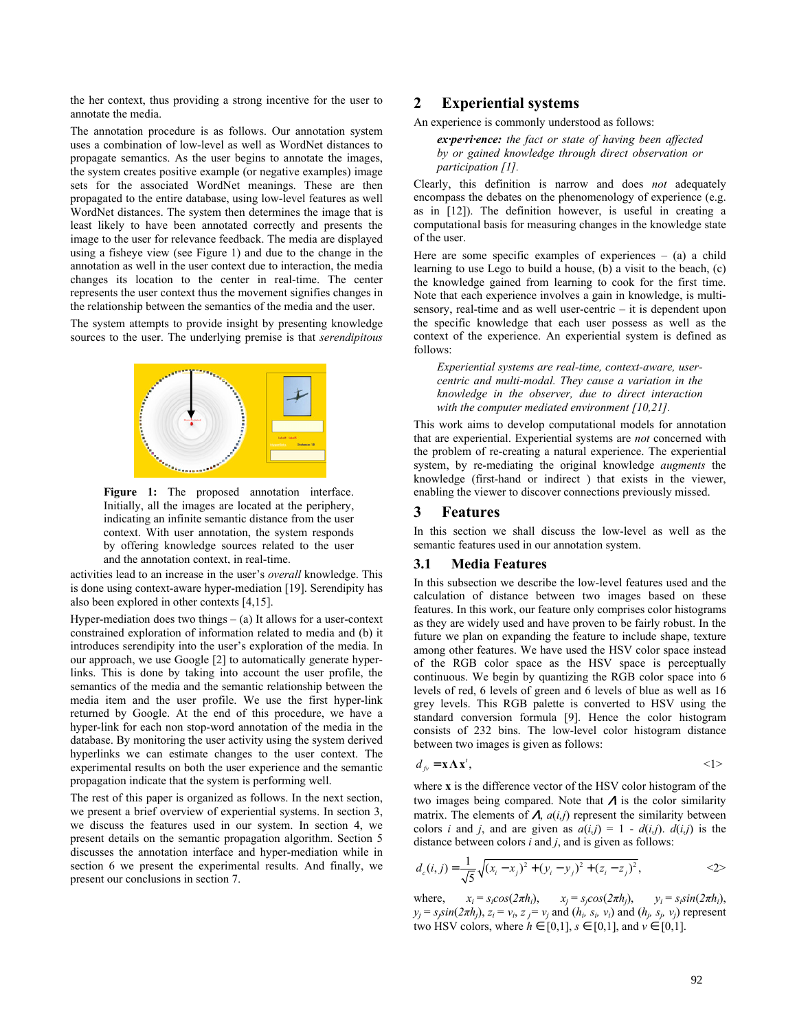the her context, thus providing a strong incentive for the user to annotate the media.

The annotation procedure is as follows. Our annotation system uses a combination of low-level as well as WordNet distances to propagate semantics. As the user begins to annotate the images, the system creates positive example (or negative examples) image sets for the associated WordNet meanings. These are then propagated to the entire database, using low-level features as well WordNet distances. The system then determines the image that is least likely to have been annotated correctly and presents the image to the user for relevance feedback. The media are displayed using a fisheye view (see Figure 1) and due to the change in the annotation as well in the user context due to interaction, the media changes its location to the center in real-time. The center represents the user context thus the movement signifies changes in the relationship between the semantics of the media and the user.

The system attempts to provide insight by presenting knowledge sources to the user. The underlying premise is that *serendipitous* 



Figure 1: The proposed annotation interface. Initially, all the images are located at the periphery, indicating an infinite semantic distance from the user context. With user annotation, the system responds by offering knowledge sources related to the user and the annotation context, in real-time.

activities lead to an increase in the user's *overall* knowledge. This is done using context-aware hyper-mediation [19]. Serendipity has also been explored in other contexts [4,15].

Hyper-mediation does two things  $-$  (a) It allows for a user-context constrained exploration of information related to media and (b) it introduces serendipity into the user's exploration of the media. In our approach, we use Google [2] to automatically generate hyperlinks. This is done by taking into account the user profile, the semantics of the media and the semantic relationship between the media item and the user profile. We use the first hyper-link returned by Google. At the end of this procedure, we have a hyper-link for each non stop-word annotation of the media in the database. By monitoring the user activity using the system derived hyperlinks we can estimate changes to the user context. The experimental results on both the user experience and the semantic propagation indicate that the system is performing well.

The rest of this paper is organized as follows. In the next section, we present a brief overview of experiential systems. In section 3, we discuss the features used in our system. In section 4, we present details on the semantic propagation algorithm. Section 5 discusses the annotation interface and hyper-mediation while in section 6 we present the experimental results. And finally, we present our conclusions in section 7.

### **2 Experiential systems**

An experience is commonly understood as follows:

*ex·pe·ri·ence: the fact or state of having been affected by or gained knowledge through direct observation or participation [1].* 

Clearly, this definition is narrow and does *not* adequately encompass the debates on the phenomenology of experience (e.g. as in [12]). The definition however, is useful in creating a computational basis for measuring changes in the knowledge state of the user.

Here are some specific examples of experiences  $-$  (a) a child learning to use Lego to build a house, (b) a visit to the beach, (c) the knowledge gained from learning to cook for the first time. Note that each experience involves a gain in knowledge, is multisensory, real-time and as well user-centric – it is dependent upon the specific knowledge that each user possess as well as the context of the experience. An experiential system is defined as follows:

*Experiential systems are real-time, context-aware, usercentric and multi-modal. They cause a variation in the knowledge in the observer, due to direct interaction with the computer mediated environment [10,21].* 

This work aims to develop computational models for annotation that are experiential. Experiential systems are *not* concerned with the problem of re-creating a natural experience. The experiential system, by re-mediating the original knowledge *augments* the knowledge (first-hand or indirect ) that exists in the viewer, enabling the viewer to discover connections previously missed.

#### **3 Features**

In this section we shall discuss the low-level as well as the semantic features used in our annotation system.

## **3.1 Media Features**

In this subsection we describe the low-level features used and the calculation of distance between two images based on these features. In this work, our feature only comprises color histograms as they are widely used and have proven to be fairly robust. In the future we plan on expanding the feature to include shape, texture among other features. We have used the HSV color space instead of the RGB color space as the HSV space is perceptually continuous. We begin by quantizing the RGB color space into 6 levels of red, 6 levels of green and 6 levels of blue as well as 16 grey levels. This RGB palette is converted to HSV using the standard conversion formula [9]. Hence the color histogram consists of 232 bins. The low-level color histogram distance between two images is given as follows:

$$
d_{\beta} = \mathbf{x} \Lambda \mathbf{x}^t, \qquad \qquad <1>
$$

where **x** is the difference vector of the HSV color histogram of the two images being compared. Note that  $\Lambda$  is the color similarity matrix. The elements of  $\Lambda$ ,  $a(i,j)$  represent the similarity between colors *i* and *j*, and are given as  $a(i,j) = 1 - d(i,j)$ .  $d(i,j)$  is the distance between colors *i* and *j*, and is given as follows:

$$
d_c(i,j) = \frac{1}{\sqrt{5}} \sqrt{(x_i - x_j)^2 + (y_i - y_j)^2 + (z_i - z_j)^2},
$$
  $\langle 2 \rangle$ 

where,  $x_i = s_i cos(2\pi h_i),$   $x_j = s_j cos(2\pi h_j),$   $y_i = s_i sin(2\pi h_i),$  $y_j = s_j \sin(2\pi h_j)$ ,  $z_i = v_i$ ,  $z_j = v_j$  and  $(h_i, s_i, v_i)$  and  $(h_j, s_j, v_j)$  represent two HSV colors, where  $h \in [0,1]$ ,  $s \in [0,1]$ , and  $v \in [0,1]$ .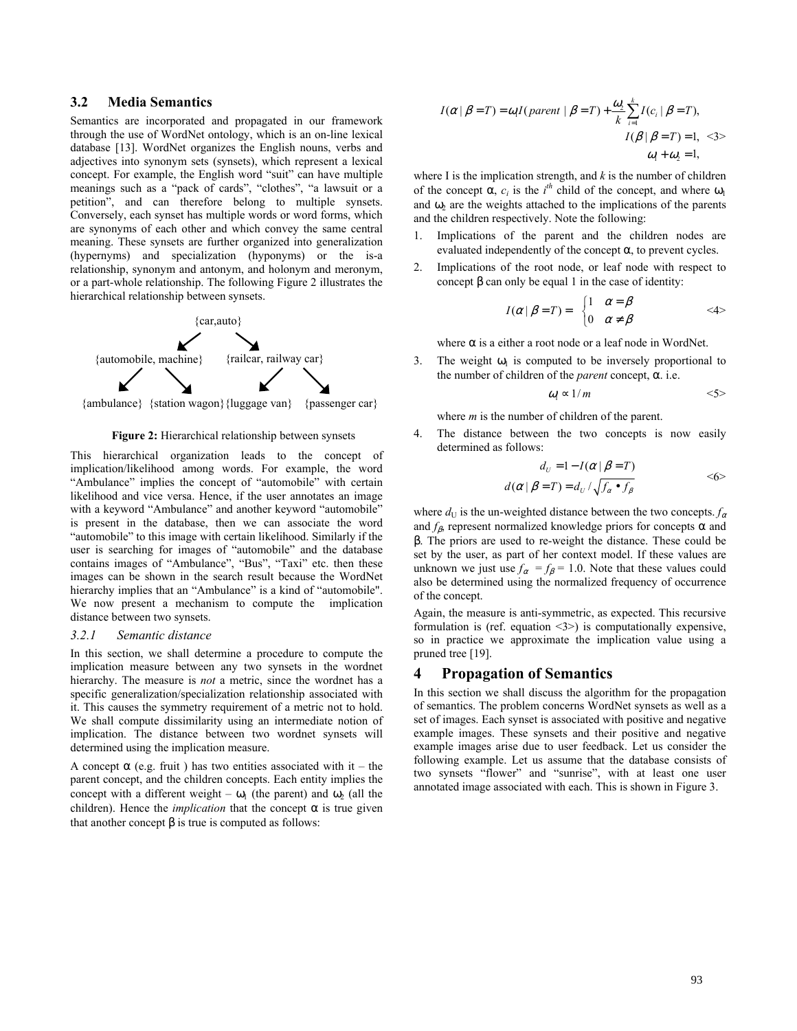## **3.2 Media Semantics**

Semantics are incorporated and propagated in our framework through the use of WordNet ontology, which is an on-line lexical database [13]. WordNet organizes the English nouns, verbs and adjectives into synonym sets (synsets), which represent a lexical concept. For example, the English word "suit" can have multiple meanings such as a "pack of cards", "clothes", "a lawsuit or a petition", and can therefore belong to multiple synsets. Conversely, each synset has multiple words or word forms, which are synonyms of each other and which convey the same central meaning. These synsets are further organized into generalization (hypernyms) and specialization (hyponyms) or the is-a relationship, synonym and antonym, and holonym and meronym, or a part-whole relationship. The following Figure 2 illustrates the hierarchical relationship between synsets.



{ambulance} {station wagon} {luggage van} {passenger car}

#### **Figure 2:** Hierarchical relationship between synsets

This hierarchical organization leads to the concept of implication/likelihood among words. For example, the word "Ambulance" implies the concept of "automobile" with certain likelihood and vice versa. Hence, if the user annotates an image with a keyword "Ambulance" and another keyword "automobile" is present in the database, then we can associate the word "automobile" to this image with certain likelihood. Similarly if the user is searching for images of "automobile" and the database contains images of "Ambulance", "Bus", "Taxi" etc. then these images can be shown in the search result because the WordNet hierarchy implies that an "Ambulance" is a kind of "automobile". We now present a mechanism to compute the implication distance between two synsets.

#### *3.2.1 Semantic distance*

In this section, we shall determine a procedure to compute the implication measure between any two synsets in the wordnet hierarchy. The measure is *not* a metric, since the wordnet has a specific generalization/specialization relationship associated with it. This causes the symmetry requirement of a metric not to hold. We shall compute dissimilarity using an intermediate notion of implication. The distance between two wordnet synsets will determined using the implication measure.

A concept  $\alpha$  (e.g. fruit) has two entities associated with it – the parent concept, and the children concepts. Each entity implies the concept with a different weight –  $\omega_1$  (the parent) and  $\omega_2$  (all the children). Hence the *implication* that the concept  $\alpha$  is true given that another concept  $β$  is true is computed as follows:

$$
I(\alpha \mid \beta = T) = \omega_1 I(\text{parent} \mid \beta = T) + \frac{\omega_2}{k} \sum_{i=1}^{k} I(c_i \mid \beta = T),
$$
  

$$
I(\beta \mid \beta = T) = 1, \langle 3 \rangle
$$
  

$$
\omega_1 + \omega_2 = 1,
$$

where I is the implication strength, and *k* is the number of children of the concept  $\alpha$ ,  $c_i$  is the *i*<sup>th</sup> child of the concept, and where  $\omega_1$ and  $\omega_2$  are the weights attached to the implications of the parents and the children respectively. Note the following:

- 1. Implications of the parent and the children nodes are evaluated independently of the concept  $\alpha$ , to prevent cycles.
- 2. Implications of the root node, or leaf node with respect to concept β can only be equal 1 in the case of identity:

$$
I(\alpha \mid \beta = T) = \begin{cases} 1 & \alpha = \beta \\ 0 & \alpha \neq \beta \end{cases} < 4>
$$

where  $\alpha$  is a either a root node or a leaf node in WordNet.

3. The weight  $\omega_1$  is computed to be inversely proportional to the number of children of the *parent* concept, α. i.e.

$$
\omega_{\rm l} \propto 1/m \qquad \qquad \ll 5>
$$

where *m* is the number of children of the parent.

4. The distance between the two concepts is now easily determined as follows:

$$
d_U = 1 - I(\alpha \mid \beta = T)
$$
  

$$
d(\alpha \mid \beta = T) = d_U / \sqrt{f_\alpha \bullet f_\beta}
$$
  $\iff$ 

where  $d_U$  is the un-weighted distance between the two concepts.  $f_\alpha$ and  $f_{\beta}$ , represent normalized knowledge priors for concepts  $\alpha$  and β. The priors are used to re-weight the distance. These could be set by the user, as part of her context model. If these values are unknown we just use  $f_{\alpha} = f_{\beta} = 1.0$ . Note that these values could also be determined using the normalized frequency of occurrence of the concept.

Again, the measure is anti-symmetric, as expected. This recursive formulation is (ref. equation <3>) is computationally expensive, so in practice we approximate the implication value using a pruned tree [19].

## **4 Propagation of Semantics**

In this section we shall discuss the algorithm for the propagation of semantics. The problem concerns WordNet synsets as well as a set of images. Each synset is associated with positive and negative example images. These synsets and their positive and negative example images arise due to user feedback. Let us consider the following example. Let us assume that the database consists of two synsets "flower" and "sunrise", with at least one user annotated image associated with each. This is shown in Figure 3.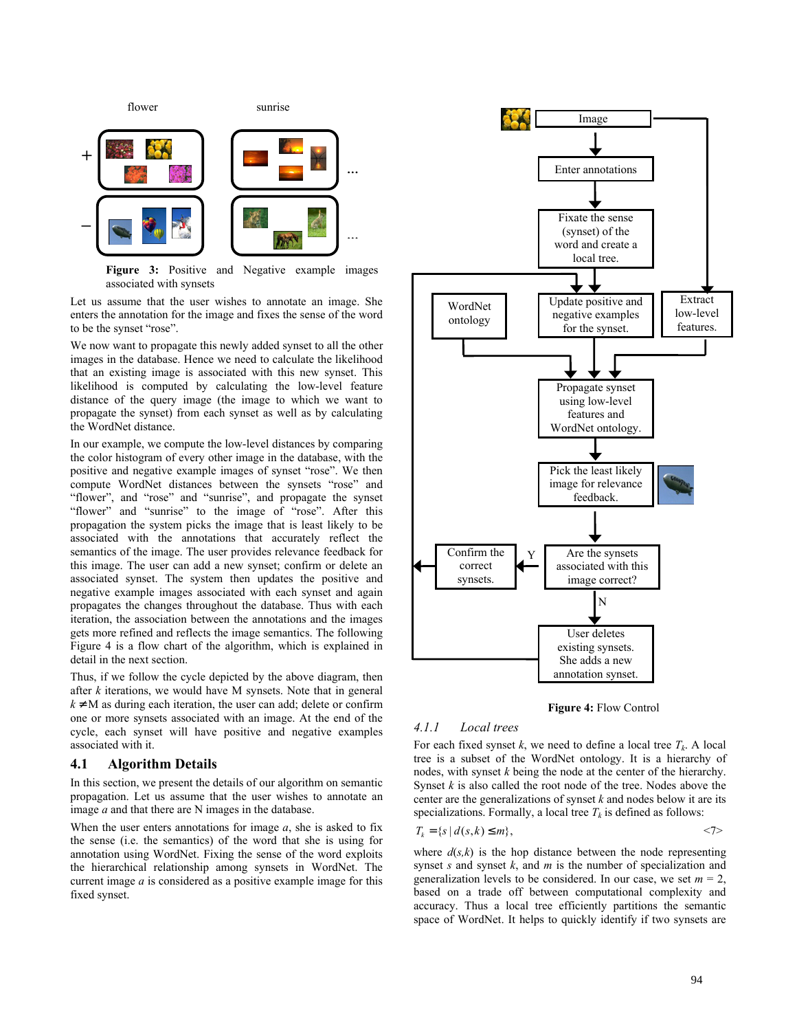

**Figure 3:** Positive and Negative example images associated with synsets

Let us assume that the user wishes to annotate an image. She enters the annotation for the image and fixes the sense of the word to be the synset "rose".

We now want to propagate this newly added synset to all the other images in the database. Hence we need to calculate the likelihood that an existing image is associated with this new synset. This likelihood is computed by calculating the low-level feature distance of the query image (the image to which we want to propagate the synset) from each synset as well as by calculating the WordNet distance.

In our example, we compute the low-level distances by comparing the color histogram of every other image in the database, with the positive and negative example images of synset "rose". We then compute WordNet distances between the synsets "rose" and "flower", and "rose" and "sunrise", and propagate the synset "flower" and "sunrise" to the image of "rose". After this propagation the system picks the image that is least likely to be associated with the annotations that accurately reflect the semantics of the image. The user provides relevance feedback for this image. The user can add a new synset; confirm or delete an associated synset. The system then updates the positive and negative example images associated with each synset and again propagates the changes throughout the database. Thus with each iteration, the association between the annotations and the images gets more refined and reflects the image semantics. The following Figure 4 is a flow chart of the algorithm, which is explained in detail in the next section.

Thus, if we follow the cycle depicted by the above diagram, then after *k* iterations, we would have M synsets. Note that in general  $k \neq M$  as during each iteration, the user can add; delete or confirm one or more synsets associated with an image. At the end of the cycle, each synset will have positive and negative examples associated with it.

### **4.1 Algorithm Details**

In this section, we present the details of our algorithm on semantic propagation. Let us assume that the user wishes to annotate an image *a* and that there are N images in the database.

When the user enters annotations for image *a*, she is asked to fix the sense (i.e. the semantics) of the word that she is using for annotation using WordNet. Fixing the sense of the word exploits the hierarchical relationship among synsets in WordNet. The current image *a* is considered as a positive example image for this fixed synset.



**Figure 4:** Flow Control

# *4.1.1 Local trees*

For each fixed synset  $k$ , we need to define a local tree  $T_k$ . A local tree is a subset of the WordNet ontology. It is a hierarchy of nodes, with synset *k* being the node at the center of the hierarchy. Synset *k* is also called the root node of the tree. Nodes above the center are the generalizations of synset *k* and nodes below it are its specializations. Formally, a local tree  $T_k$  is defined as follows:

$$
T_k = \{s \mid d(s,k) \le m\},\tag{7}
$$

where  $d(s,k)$  is the hop distance between the node representing synset *s* and synset *k*, and *m* is the number of specialization and generalization levels to be considered. In our case, we set  $m = 2$ , based on a trade off between computational complexity and accuracy. Thus a local tree efficiently partitions the semantic space of WordNet. It helps to quickly identify if two synsets are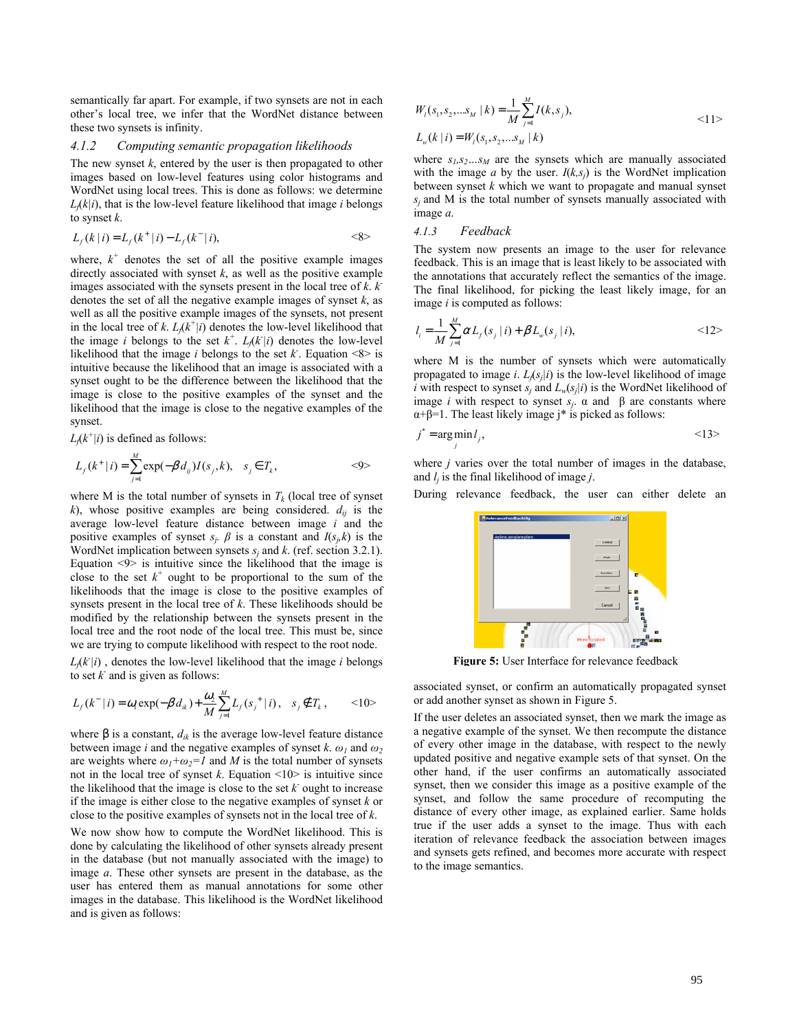semantically far apart. For example, if two synsets are not in each other's local tree, we infer that the WordNet distance between these two synsets is infinity.

#### *4.1.2 Computing semantic propagation likelihoods*

The new synset *k*, entered by the user is then propagated to other images based on low-level features using color histograms and WordNet using local trees. This is done as follows: we determine  $L(k|i)$ , that is the low-level feature likelihood that image *i* belongs to synset *k*.

$$
L_f(k|i) = L_f(k^+|i) - L_f(k^-|i),
$$
  $\langle 8 \rangle$ 

where,  $k^+$  denotes the set of all the positive example images directly associated with synset  $k$ , as well as the positive example images associated with the synsets present in the local tree of *k*. *k*denotes the set of all the negative example images of synset  $k$ , as well as all the positive example images of the synsets, not present in the local tree of *k*.  $L_f(k^+|i)$  denotes the low-level likelihood that the image *i* belongs to the set  $k^+$ .  $L_f(k|i)$  denotes the low-level likelihood that the image *i* belongs to the set *k*. Equation <8> is intuitive because the likelihood that an image is associated with a synset ought to be the difference between the likelihood that the image is close to the positive examples of the synset and the likelihood that the image is close to the negative examples of the synset.

 $L_f(k^+|i)$  is defined as follows:

$$
L_f(k^+|i) = \sum_{j=1}^{M} \exp(-\beta d_{ij}) I(s_j, k), \quad s_j \in T_k, \tag{9}
$$

where M is the total number of synsets in  $T_k$  (local tree of synset  $k$ ), whose positive examples are being considered.  $d_{ij}$  is the average low-level feature distance between image *i* and the positive examples of synset  $s_j$ .  $\beta$  is a constant and  $I(s_j, k)$  is the WordNet implication between synsets  $s_i$  and  $k$ . (ref. section 3.2.1). Equation  $\leq 9$  is intuitive since the likelihood that the image is close to the set  $k^+$  ought to be proportional to the sum of the likelihoods that the image is close to the positive examples of synsets present in the local tree of *k*. These likelihoods should be modified by the relationship between the synsets present in the local tree and the root node of the local tree. This must be, since we are trying to compute likelihood with respect to the root node.

 $L_f(k|i)$ , denotes the low-level likelihood that the image *i* belongs to set  $k$ <sup>-</sup> and is given as follows:

$$
L_f(k^-|i) = \omega_i \exp(-\beta d_{ik}) + \frac{\omega_2}{M} \sum_{j=1}^{M} L_f(s_j^+|i), \quad s_j \notin T_k, \quad <10>
$$

where  $\beta$  is a constant,  $d_{ik}$  is the average low-level feature distance between image *i* and the negative examples of synset *k*.  $\omega_1$  and  $\omega_2$ are weights where  $\omega_1 + \omega_2 = 1$  and *M* is the total number of synsets not in the local tree of synset  $k$ . Equation  $\langle 10 \rangle$  is intuitive since the likelihood that the image is close to the set  $k$  ought to increase if the image is either close to the negative examples of synset *k* or close to the positive examples of synsets not in the local tree of *k*.

We now show how to compute the WordNet likelihood. This is done by calculating the likelihood of other synsets already present in the database (but not manually associated with the image) to image *a*. These other synsets are present in the database, as the user has entered them as manual annotations for some other images in the database. This likelihood is the WordNet likelihood and is given as follows:

$$
W_l(s_1, s_2, \dots s_M \mid k) = \frac{1}{M} \sum_{j=1}^M I(k, s_j),
$$
  
\n
$$
L_w(k \mid i) = W_l(s_1, s_2, \dots s_M \mid k) \tag{1}
$$

where  $s_1, s_2, \ldots, s_M$  are the synsets which are manually associated with the image  $a$  by the user.  $I(k, s_j)$  is the WordNet implication between synset *k* which we want to propagate and manual synset  $s_i$  and M is the total number of synsets manually associated with image *a*.

#### *4.1.3 Feedback*

The system now presents an image to the user for relevance feedback. This is an image that is least likely to be associated with the annotations that accurately reflect the semantics of the image. The final likelihood, for picking the least likely image, for an image *i* is computed as follows:

$$
l_i = \frac{1}{M} \sum_{j=1}^{M} \alpha L_f(s_j \mid i) + \beta L_w(s_j \mid i),
$$
 (12)

where M is the number of synsets which were automatically propagated to image *i*.  $L(s_i|i)$  is the low-level likelihood of image *i* with respect to synset  $s_i$  and  $L_w(s_i|i)$  is the WordNet likelihood of image *i* with respect to synset  $s_i$ . α and β are constants where  $\alpha + \beta = 1$ . The least likely image j<sup>\*</sup> is picked as follows:

$$
j^* = \underset{j}{\arg\min} l_j, \tag{13}
$$

where *j* varies over the total number of images in the database, and *lj* is the final likelihood of image *j*.

During relevance feedback, the user can either delete an



**Figure 5:** User Interface for relevance feedback

associated synset, or confirm an automatically propagated synset or add another synset as shown in Figure 5.

If the user deletes an associated synset, then we mark the image as a negative example of the synset. We then recompute the distance of every other image in the database, with respect to the newly updated positive and negative example sets of that synset. On the other hand, if the user confirms an automatically associated synset, then we consider this image as a positive example of the synset, and follow the same procedure of recomputing the distance of every other image, as explained earlier. Same holds true if the user adds a synset to the image. Thus with each iteration of relevance feedback the association between images and synsets gets refined, and becomes more accurate with respect to the image semantics.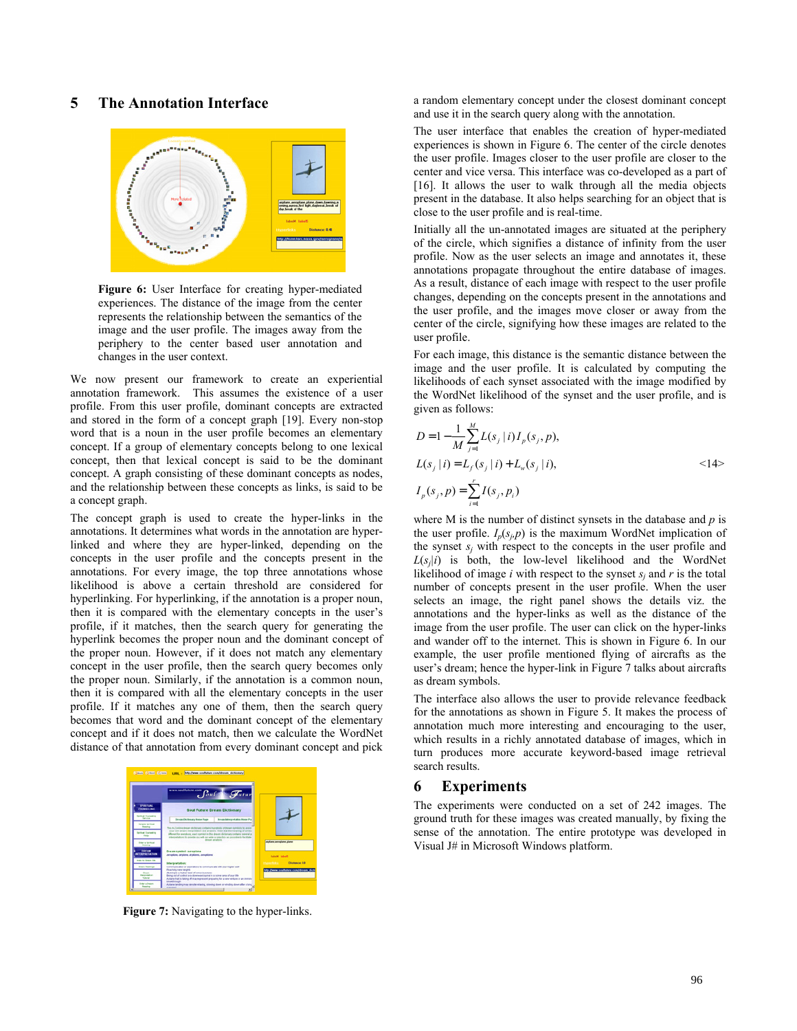# **5 The Annotation Interface**



**Figure 6:** User Interface for creating hyper-mediated experiences. The distance of the image from the center represents the relationship between the semantics of the image and the user profile. The images away from the periphery to the center based user annotation and changes in the user context.

We now present our framework to create an experiential annotation framework. This assumes the existence of a user profile. From this user profile, dominant concepts are extracted and stored in the form of a concept graph [19]. Every non-stop word that is a noun in the user profile becomes an elementary concept. If a group of elementary concepts belong to one lexical concept, then that lexical concept is said to be the dominant concept. A graph consisting of these dominant concepts as nodes, and the relationship between these concepts as links, is said to be a concept graph.

The concept graph is used to create the hyper-links in the annotations. It determines what words in the annotation are hyperlinked and where they are hyper-linked, depending on the concepts in the user profile and the concepts present in the annotations. For every image, the top three annotations whose likelihood is above a certain threshold are considered for hyperlinking. For hyperlinking, if the annotation is a proper noun, then it is compared with the elementary concepts in the user's profile, if it matches, then the search query for generating the hyperlink becomes the proper noun and the dominant concept of the proper noun. However, if it does not match any elementary concept in the user profile, then the search query becomes only the proper noun. Similarly, if the annotation is a common noun, then it is compared with all the elementary concepts in the user profile. If it matches any one of them, then the search query becomes that word and the dominant concept of the elementary concept and if it does not match, then we calculate the WordNet distance of that annotation from every dominant concept and pick



**Figure 7:** Navigating to the hyper-links.

a random elementary concept under the closest dominant concept and use it in the search query along with the annotation.

The user interface that enables the creation of hyper-mediated experiences is shown in Figure 6. The center of the circle denotes the user profile. Images closer to the user profile are closer to the center and vice versa. This interface was co-developed as a part of [16]. It allows the user to walk through all the media objects present in the database. It also helps searching for an object that is close to the user profile and is real-time.

Initially all the un-annotated images are situated at the periphery of the circle, which signifies a distance of infinity from the user profile. Now as the user selects an image and annotates it, these annotations propagate throughout the entire database of images. As a result, distance of each image with respect to the user profile changes, depending on the concepts present in the annotations and the user profile, and the images move closer or away from the center of the circle, signifying how these images are related to the user profile.

For each image, this distance is the semantic distance between the image and the user profile. It is calculated by computing the likelihoods of each synset associated with the image modified by the WordNet likelihood of the synset and the user profile, and is given as follows:

$$
D = 1 - \frac{1}{M} \sum_{j=1}^{M} L(s_j | i) I_p(s_j, p),
$$
  
\n
$$
L(s_j | i) = L_f(s_j | i) + L_w(s_j | i),
$$
  
\n
$$
I_p(s_j, p) = \sum_{i=1}^{r} I(s_j, p_i)
$$
  
\n
$$
(14 >
$$

where M is the number of distinct synsets in the database and *p* is the user profile.  $I_p(s_i,p)$  is the maximum WordNet implication of the synset *sj* with respect to the concepts in the user profile and  $L(s_i|i)$  is both, the low-level likelihood and the WordNet likelihood of image  $i$  with respect to the synset  $s_i$  and  $r$  is the total number of concepts present in the user profile. When the user selects an image, the right panel shows the details viz. the annotations and the hyper-links as well as the distance of the image from the user profile. The user can click on the hyper-links and wander off to the internet. This is shown in Figure 6. In our example, the user profile mentioned flying of aircrafts as the user's dream; hence the hyper-link in Figure 7 talks about aircrafts as dream symbols.

The interface also allows the user to provide relevance feedback for the annotations as shown in Figure 5. It makes the process of annotation much more interesting and encouraging to the user, which results in a richly annotated database of images, which in turn produces more accurate keyword-based image retrieval search results.

## **6 Experiments**

The experiments were conducted on a set of 242 images. The ground truth for these images was created manually, by fixing the sense of the annotation. The entire prototype was developed in Visual J# in Microsoft Windows platform.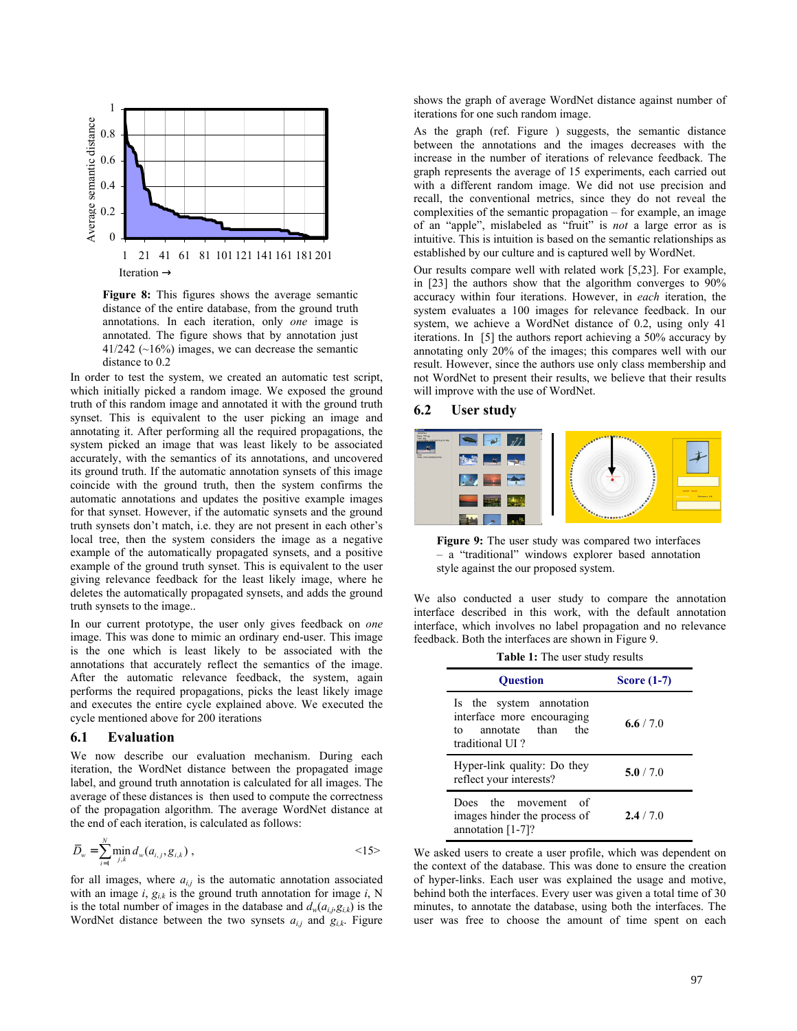

**Figure 8:** This figures shows the average semantic distance of the entire database, from the ground truth annotations. In each iteration, only *one* image is annotated. The figure shows that by annotation just  $41/242$  ( $\sim$ 16%) images, we can decrease the semantic distance to 0.2

In order to test the system, we created an automatic test script, which initially picked a random image. We exposed the ground truth of this random image and annotated it with the ground truth synset. This is equivalent to the user picking an image and annotating it. After performing all the required propagations, the system picked an image that was least likely to be associated accurately, with the semantics of its annotations, and uncovered its ground truth. If the automatic annotation synsets of this image coincide with the ground truth, then the system confirms the automatic annotations and updates the positive example images for that synset. However, if the automatic synsets and the ground truth synsets don't match, i.e. they are not present in each other's local tree, then the system considers the image as a negative example of the automatically propagated synsets, and a positive example of the ground truth synset. This is equivalent to the user giving relevance feedback for the least likely image, where he deletes the automatically propagated synsets, and adds the ground truth synsets to the image..

In our current prototype, the user only gives feedback on *one* image. This was done to mimic an ordinary end-user. This image is the one which is least likely to be associated with the annotations that accurately reflect the semantics of the image. After the automatic relevance feedback, the system, again performs the required propagations, picks the least likely image and executes the entire cycle explained above. We executed the cycle mentioned above for 200 iterations

#### **6.1 Evaluation**

We now describe our evaluation mechanism. During each iteration, the WordNet distance between the propagated image label, and ground truth annotation is calculated for all images. The average of these distances is then used to compute the correctness of the propagation algorithm. The average WordNet distance at the end of each iteration, is calculated as follows:

$$
\bar{D}_w = \sum_{i=1}^N \min_{j,k} d_w(a_{i,j}, g_{i,k}), \qquad \qquad \leq 15>
$$

for all images, where  $a_{i,j}$  is the automatic annotation associated with an image  $i$ ,  $g_{ik}$  is the ground truth annotation for image  $i$ , N is the total number of images in the database and  $d_w(a_{i,j}, g_{i,k})$  is the WordNet distance between the two synsets  $a_{i,j}$  and  $g_{i,k}$ . Figure

shows the graph of average WordNet distance against number of iterations for one such random image.

As the graph (ref. Figure ) suggests, the semantic distance between the annotations and the images decreases with the increase in the number of iterations of relevance feedback. The graph represents the average of 15 experiments, each carried out with a different random image. We did not use precision and recall, the conventional metrics, since they do not reveal the complexities of the semantic propagation – for example, an image of an "apple", mislabeled as "fruit" is *not* a large error as is intuitive. This is intuition is based on the semantic relationships as established by our culture and is captured well by WordNet.

Our results compare well with related work [5,23]. For example, in [23] the authors show that the algorithm converges to 90% accuracy within four iterations. However, in *each* iteration, the system evaluates a 100 images for relevance feedback. In our system, we achieve a WordNet distance of 0.2, using only 41 iterations. In [5] the authors report achieving a 50% accuracy by annotating only 20% of the images; this compares well with our result. However, since the authors use only class membership and not WordNet to present their results, we believe that their results will improve with the use of WordNet.

#### **6.2 User study**



**Figure 9:** The user study was compared two interfaces – a "traditional" windows explorer based annotation style against the our proposed system.

We also conducted a user study to compare the annotation interface described in this work, with the default annotation interface, which involves no label propagation and no relevance feedback. Both the interfaces are shown in Figure 9.

**Table 1:** The user study results

| <b>Ouestion</b>                                                                                             | <b>Score (1-7)</b> |
|-------------------------------------------------------------------------------------------------------------|--------------------|
| Is the system annotation<br>interface more encouraging<br>annotate than<br>the<br>to to<br>traditional UI ? | 6.6/7.0            |
| Hyper-link quality: Do they<br>reflect your interests?                                                      | 5.0/7.0            |
| Does the movement<br>- of<br>images hinder the process of<br>annotation $[1-7]$ ?                           | 2.4/7.0            |

We asked users to create a user profile, which was dependent on the context of the database. This was done to ensure the creation of hyper-links. Each user was explained the usage and motive, behind both the interfaces. Every user was given a total time of 30 minutes, to annotate the database, using both the interfaces. The user was free to choose the amount of time spent on each